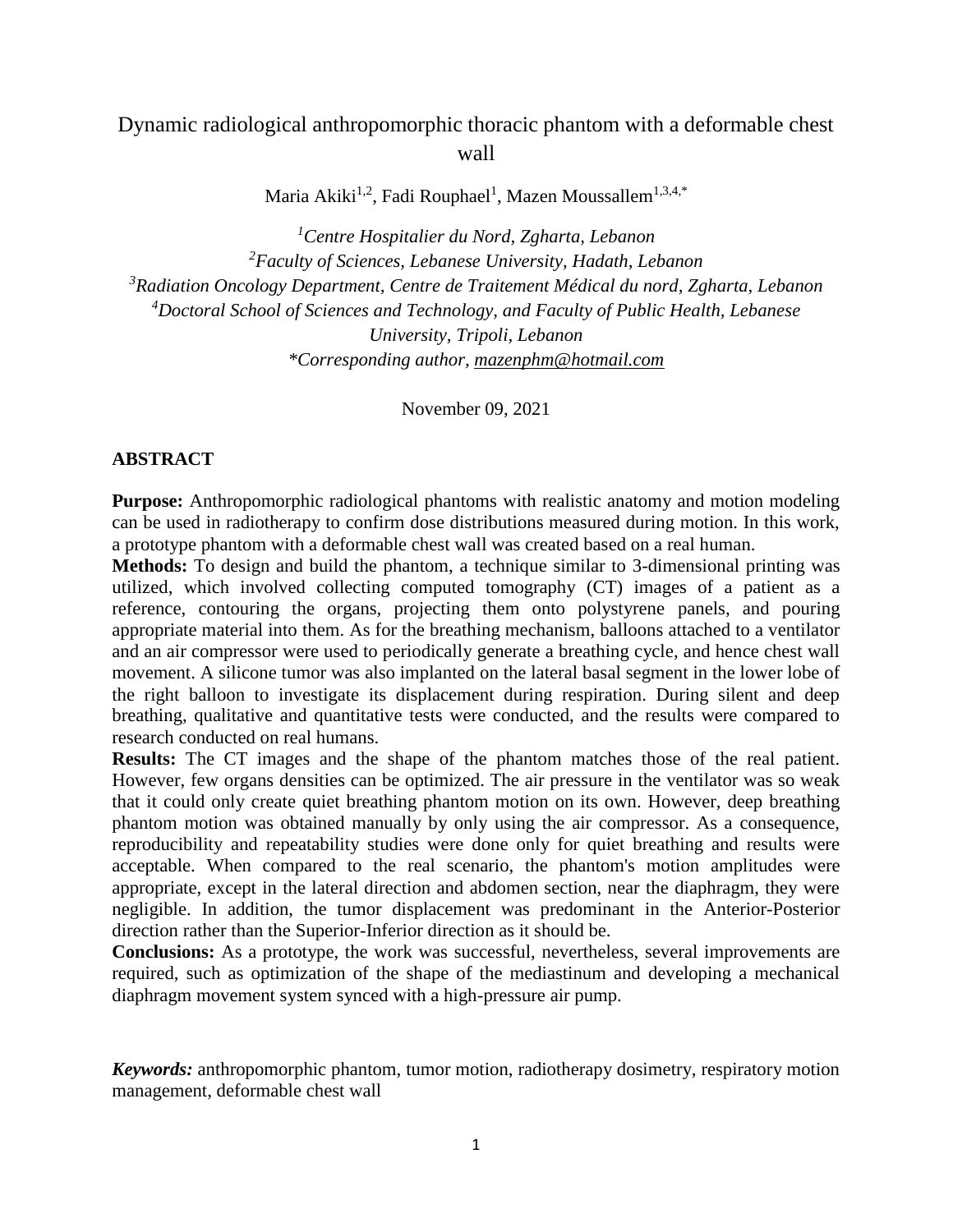# Dynamic radiological anthropomorphic thoracic phantom with a deformable chest wall

Maria Akiki $^{1,2}$ , Fadi Rouphael<sup>1</sup>, Mazen Moussallem $^{1,3,4,*}$ 

*Centre Hospitalier du Nord, Zgharta, Lebanon Faculty of Sciences, Lebanese University, Hadath, Lebanon Radiation Oncology Department, Centre de Traitement Médical du nord, Zgharta, Lebanon Doctoral School of Sciences and Technology, and Faculty of Public Health, Lebanese University, Tripoli, Lebanon \*Corresponding author, [mazenphm@hotmail.com](mailto:mazenphm@hotmail.com)*

November 09, 2021

## **ABSTRACT**

**Purpose:** Anthropomorphic radiological phantoms with realistic anatomy and motion modeling can be used in radiotherapy to confirm dose distributions measured during motion. In this work, a prototype phantom with a deformable chest wall was created based on a real human.

**Methods:** To design and build the phantom, a technique similar to 3-dimensional printing was utilized, which involved collecting computed tomography (CT) images of a patient as a reference, contouring the organs, projecting them onto polystyrene panels, and pouring appropriate material into them. As for the breathing mechanism, balloons attached to a ventilator and an air compressor were used to periodically generate a breathing cycle, and hence chest wall movement. A silicone tumor was also implanted on the lateral basal segment in the lower lobe of the right balloon to investigate its displacement during respiration. During silent and deep breathing, qualitative and quantitative tests were conducted, and the results were compared to research conducted on real humans.

**Results:** The CT images and the shape of the phantom matches those of the real patient. However, few organs densities can be optimized. The air pressure in the ventilator was so weak that it could only create quiet breathing phantom motion on its own. However, deep breathing phantom motion was obtained manually by only using the air compressor. As a consequence, reproducibility and repeatability studies were done only for quiet breathing and results were acceptable. When compared to the real scenario, the phantom's motion amplitudes were appropriate, except in the lateral direction and abdomen section, near the diaphragm, they were negligible. In addition, the tumor displacement was predominant in the Anterior-Posterior direction rather than the Superior-Inferior direction as it should be.

**Conclusions:** As a prototype, the work was successful, nevertheless, several improvements are required, such as optimization of the shape of the mediastinum and developing a mechanical diaphragm movement system synced with a high-pressure air pump.

*Keywords:* anthropomorphic phantom, tumor motion, radiotherapy dosimetry, respiratory motion management, deformable chest wall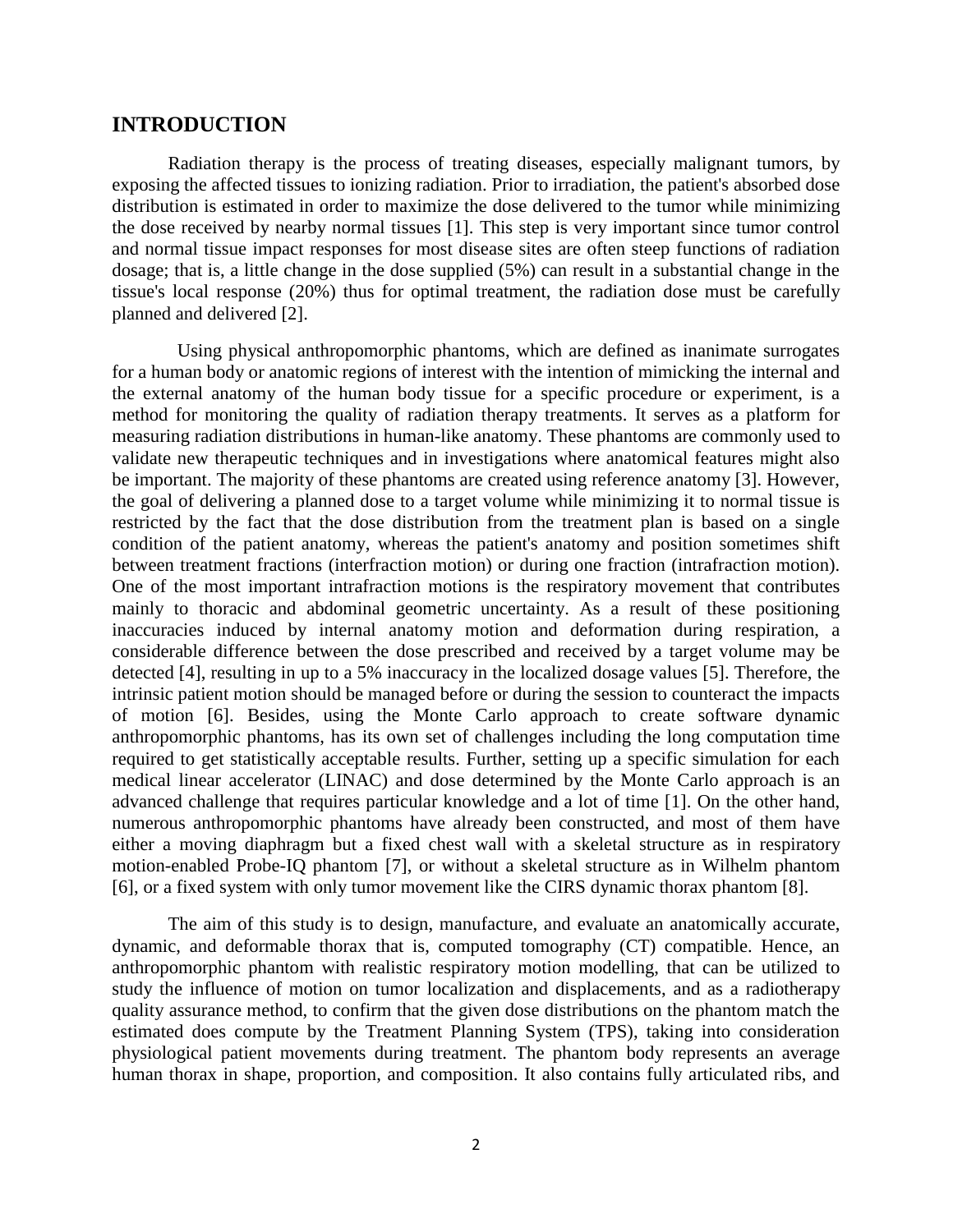## **INTRODUCTION**

Radiation therapy is the process of treating diseases, especially malignant tumors, by exposing the affected tissues to ionizing radiation. Prior to irradiation, the patient's absorbed dose distribution is estimated in order to maximize the dose delivered to the tumor while minimizing the dose received by nearby normal tissues [1]. This step is very important since tumor control and normal tissue impact responses for most disease sites are often steep functions of radiation dosage; that is, a little change in the dose supplied (5%) can result in a substantial change in the tissue's local response (20%) thus for optimal treatment, the radiation dose must be carefully planned and delivered [2].

 Using physical anthropomorphic phantoms, which are defined as inanimate surrogates for a human body or anatomic regions of interest with the intention of mimicking the internal and the external anatomy of the human body tissue for a specific procedure or experiment, is a method for monitoring the quality of radiation therapy treatments. It serves as a platform for measuring radiation distributions in human-like anatomy. These phantoms are commonly used to validate new therapeutic techniques and in investigations where anatomical features might also be important. The majority of these phantoms are created using reference anatomy [3]. However, the goal of delivering a planned dose to a target volume while minimizing it to normal tissue is restricted by the fact that the dose distribution from the treatment plan is based on a single condition of the patient anatomy, whereas the patient's anatomy and position sometimes shift between treatment fractions (interfraction motion) or during one fraction (intrafraction motion). One of the most important intrafraction motions is the respiratory movement that contributes mainly to thoracic and abdominal geometric uncertainty. As a result of these positioning inaccuracies induced by internal anatomy motion and deformation during respiration, a considerable difference between the dose prescribed and received by a target volume may be detected [4], resulting in up to a 5% inaccuracy in the localized dosage values [5]. Therefore, the intrinsic patient motion should be managed before or during the session to counteract the impacts of motion [6]. Besides, using the Monte Carlo approach to create software dynamic anthropomorphic phantoms, has its own set of challenges including the long computation time required to get statistically acceptable results. Further, setting up a specific simulation for each medical linear accelerator (LINAC) and dose determined by the Monte Carlo approach is an advanced challenge that requires particular knowledge and a lot of time [1]. On the other hand, numerous anthropomorphic phantoms have already been constructed, and most of them have either a moving diaphragm but a fixed chest wall with a skeletal structure as in respiratory motion-enabled Probe-IQ phantom [7], or without a skeletal structure as in Wilhelm phantom [6], or a fixed system with only tumor movement like the CIRS dynamic thorax phantom [8].

The aim of this study is to design, manufacture, and evaluate an anatomically accurate, dynamic, and deformable thorax that is, computed tomography (CT) compatible. Hence, an anthropomorphic phantom with realistic respiratory motion modelling, that can be utilized to study the influence of motion on tumor localization and displacements, and as a radiotherapy quality assurance method, to confirm that the given dose distributions on the phantom match the estimated does compute by the Treatment Planning System (TPS), taking into consideration physiological patient movements during treatment. The phantom body represents an average human thorax in shape, proportion, and composition. It also contains fully articulated ribs, and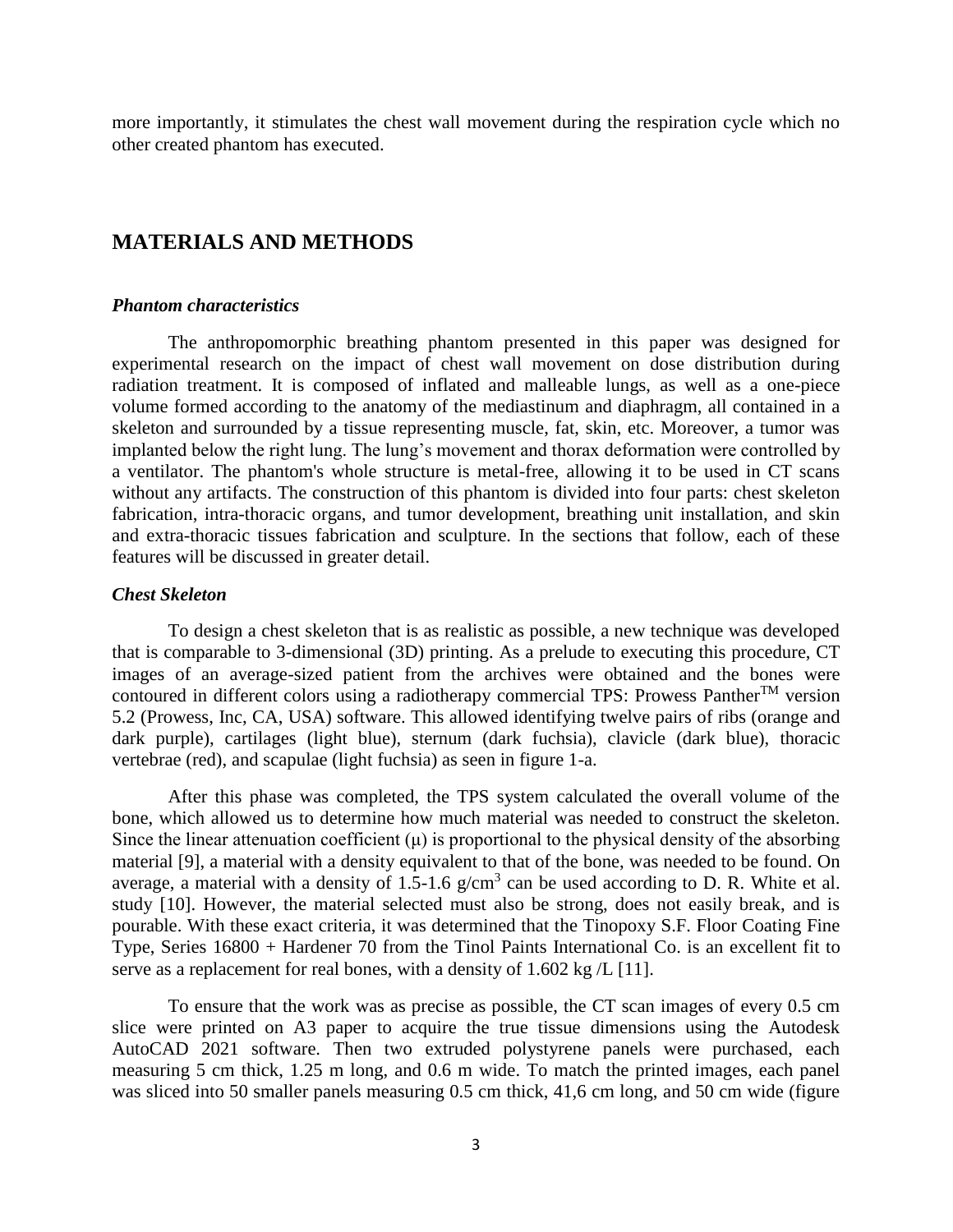more importantly, it stimulates the chest wall movement during the respiration cycle which no other created phantom has executed.

## **MATERIALS AND METHODS**

#### *Phantom characteristics*

The anthropomorphic breathing phantom presented in this paper was designed for experimental research on the impact of chest wall movement on dose distribution during radiation treatment. It is composed of inflated and malleable lungs, as well as a one-piece volume formed according to the anatomy of the mediastinum and diaphragm, all contained in a skeleton and surrounded by a tissue representing muscle, fat, skin, etc. Moreover, a tumor was implanted below the right lung. The lung's movement and thorax deformation were controlled by a ventilator. The phantom's whole structure is metal-free, allowing it to be used in CT scans without any artifacts. The construction of this phantom is divided into four parts: chest skeleton fabrication, intra-thoracic organs, and tumor development, breathing unit installation, and skin and extra-thoracic tissues fabrication and sculpture. In the sections that follow, each of these features will be discussed in greater detail.

### *Chest Skeleton*

To design a chest skeleton that is as realistic as possible, a new technique was developed that is comparable to 3-dimensional (3D) printing. As a prelude to executing this procedure, CT images of an average-sized patient from the archives were obtained and the bones were contoured in different colors using a radiotherapy commercial TPS: Prowess Panther<sup>TM</sup> version 5.2 (Prowess, Inc, CA, USA) software. This allowed identifying twelve pairs of ribs (orange and dark purple), cartilages (light blue), sternum (dark fuchsia), clavicle (dark blue), thoracic vertebrae (red), and scapulae (light fuchsia) as seen in figure 1-a.

After this phase was completed, the TPS system calculated the overall volume of the bone, which allowed us to determine how much material was needed to construct the skeleton. Since the linear attenuation coefficient  $(\mu)$  is proportional to the physical density of the absorbing material [9], a material with a density equivalent to that of the bone, was needed to be found. On average, a material with a density of 1.5-1.6  $g/cm<sup>3</sup>$  can be used according to D. R. White et al. study [10]. However, the material selected must also be strong, does not easily break, and is pourable. With these exact criteria, it was determined that the Tinopoxy S.F. Floor Coating Fine Type, Series 16800 + Hardener 70 from the Tinol Paints International Co. is an excellent fit to serve as a replacement for real bones, with a density of 1.602 kg /L [11].

To ensure that the work was as precise as possible, the CT scan images of every 0.5 cm slice were printed on A3 paper to acquire the true tissue dimensions using the Autodesk AutoCAD 2021 software. Then two extruded polystyrene panels were purchased, each measuring 5 cm thick, 1.25 m long, and 0.6 m wide. To match the printed images, each panel was sliced into 50 smaller panels measuring 0.5 cm thick, 41,6 cm long, and 50 cm wide (figure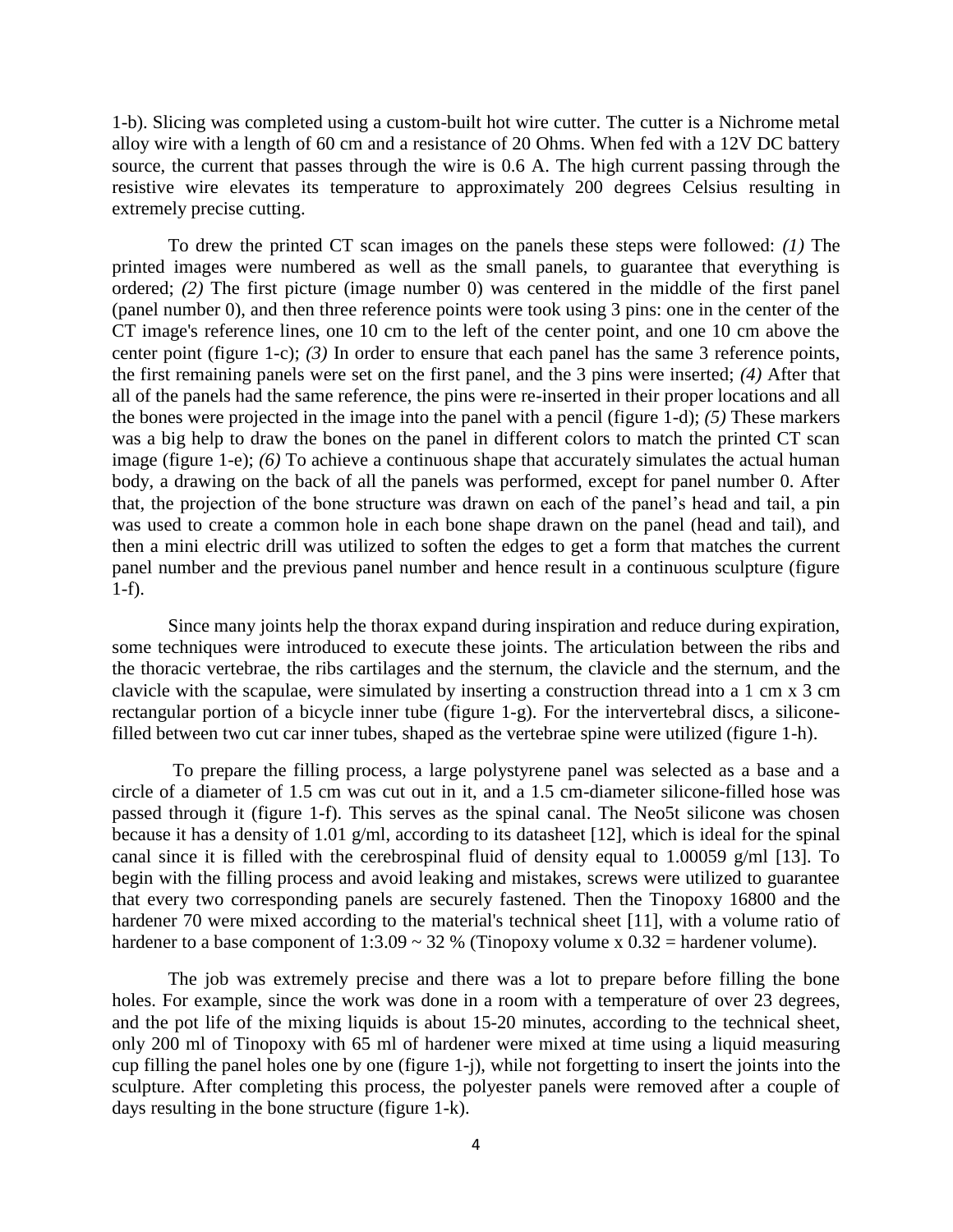1-b). Slicing was completed using a custom-built hot wire cutter. The cutter is a Nichrome metal alloy wire with a length of 60 cm and a resistance of 20 Ohms. When fed with a 12V DC battery source, the current that passes through the wire is 0.6 A. The high current passing through the resistive wire elevates its temperature to approximately 200 degrees Celsius resulting in extremely precise cutting.

To drew the printed CT scan images on the panels these steps were followed: *(1)* The printed images were numbered as well as the small panels, to guarantee that everything is ordered; *(2)* The first picture (image number 0) was centered in the middle of the first panel (panel number 0), and then three reference points were took using 3 pins: one in the center of the CT image's reference lines, one 10 cm to the left of the center point, and one 10 cm above the center point (figure 1-c); *(3)* In order to ensure that each panel has the same 3 reference points, the first remaining panels were set on the first panel, and the 3 pins were inserted; *(4)* After that all of the panels had the same reference, the pins were re-inserted in their proper locations and all the bones were projected in the image into the panel with a pencil (figure 1-d); *(5)* These markers was a big help to draw the bones on the panel in different colors to match the printed CT scan image (figure 1-e); *(6)* To achieve a continuous shape that accurately simulates the actual human body, a drawing on the back of all the panels was performed, except for panel number 0. After that, the projection of the bone structure was drawn on each of the panel's head and tail, a pin was used to create a common hole in each bone shape drawn on the panel (head and tail), and then a mini electric drill was utilized to soften the edges to get a form that matches the current panel number and the previous panel number and hence result in a continuous sculpture (figure 1-f).

Since many joints help the thorax expand during inspiration and reduce during expiration, some techniques were introduced to execute these joints. The articulation between the ribs and the thoracic vertebrae, the ribs cartilages and the sternum, the clavicle and the sternum, and the clavicle with the scapulae, were simulated by inserting a construction thread into a 1 cm x 3 cm rectangular portion of a bicycle inner tube (figure 1-g). For the intervertebral discs, a siliconefilled between two cut car inner tubes, shaped as the vertebrae spine were utilized (figure 1-h).

To prepare the filling process, a large polystyrene panel was selected as a base and a circle of a diameter of 1.5 cm was cut out in it, and a 1.5 cm-diameter silicone-filled hose was passed through it (figure 1-f). This serves as the spinal canal. The Neo5t silicone was chosen because it has a density of 1.01 g/ml, according to its datasheet [12], which is ideal for the spinal canal since it is filled with the cerebrospinal fluid of density equal to 1.00059 g/ml [13]. To begin with the filling process and avoid leaking and mistakes, screws were utilized to guarantee that every two corresponding panels are securely fastened. Then the Tinopoxy 16800 and the hardener 70 were mixed according to the material's technical sheet [11], with a volume ratio of hardener to a base component of 1:3.09  $\sim$  32 % (Tinopoxy volume x 0.32 = hardener volume).

The job was extremely precise and there was a lot to prepare before filling the bone holes. For example, since the work was done in a room with a temperature of over 23 degrees, and the pot life of the mixing liquids is about 15-20 minutes, according to the technical sheet, only 200 ml of Tinopoxy with 65 ml of hardener were mixed at time using a liquid measuring cup filling the panel holes one by one (figure 1-j), while not forgetting to insert the joints into the sculpture. After completing this process, the polyester panels were removed after a couple of days resulting in the bone structure (figure 1-k).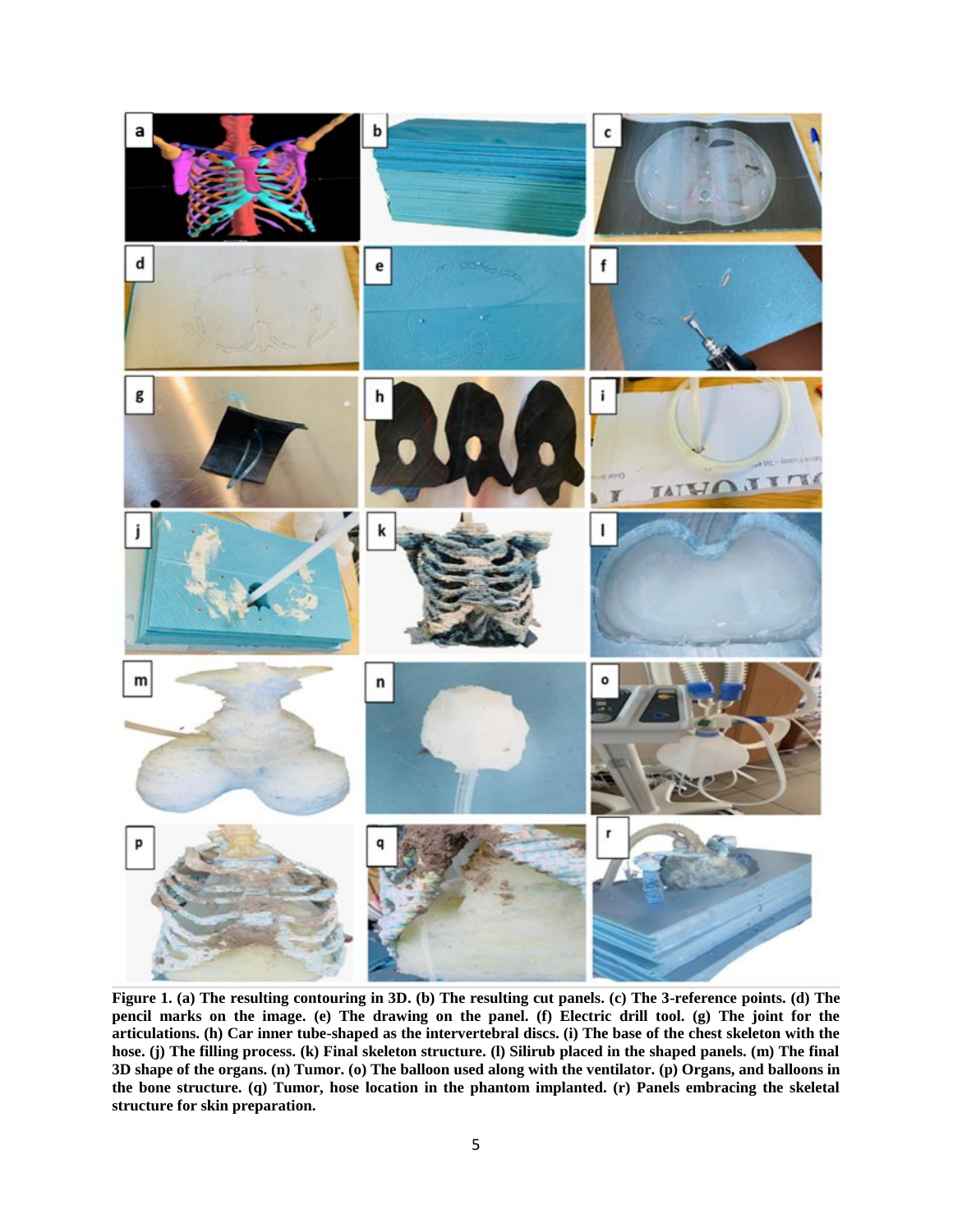

**Figure 1. (a) The resulting contouring in 3D. (b) The resulting cut panels. (c) The 3-reference points. (d) The pencil marks on the image. (e) The drawing on the panel. (f) Electric drill tool. (g) The joint for the articulations. (h) Car inner tube-shaped as the intervertebral discs. (i) The base of the chest skeleton with the hose. (j) The filling process. (k) Final skeleton structure. (l) Silirub placed in the shaped panels. (m) The final 3D shape of the organs. (n) Tumor. (o) The balloon used along with the ventilator. (p) Organs, and balloons in the bone structure. (q) Tumor, hose location in the phantom implanted. (r) Panels embracing the skeletal structure for skin preparation.**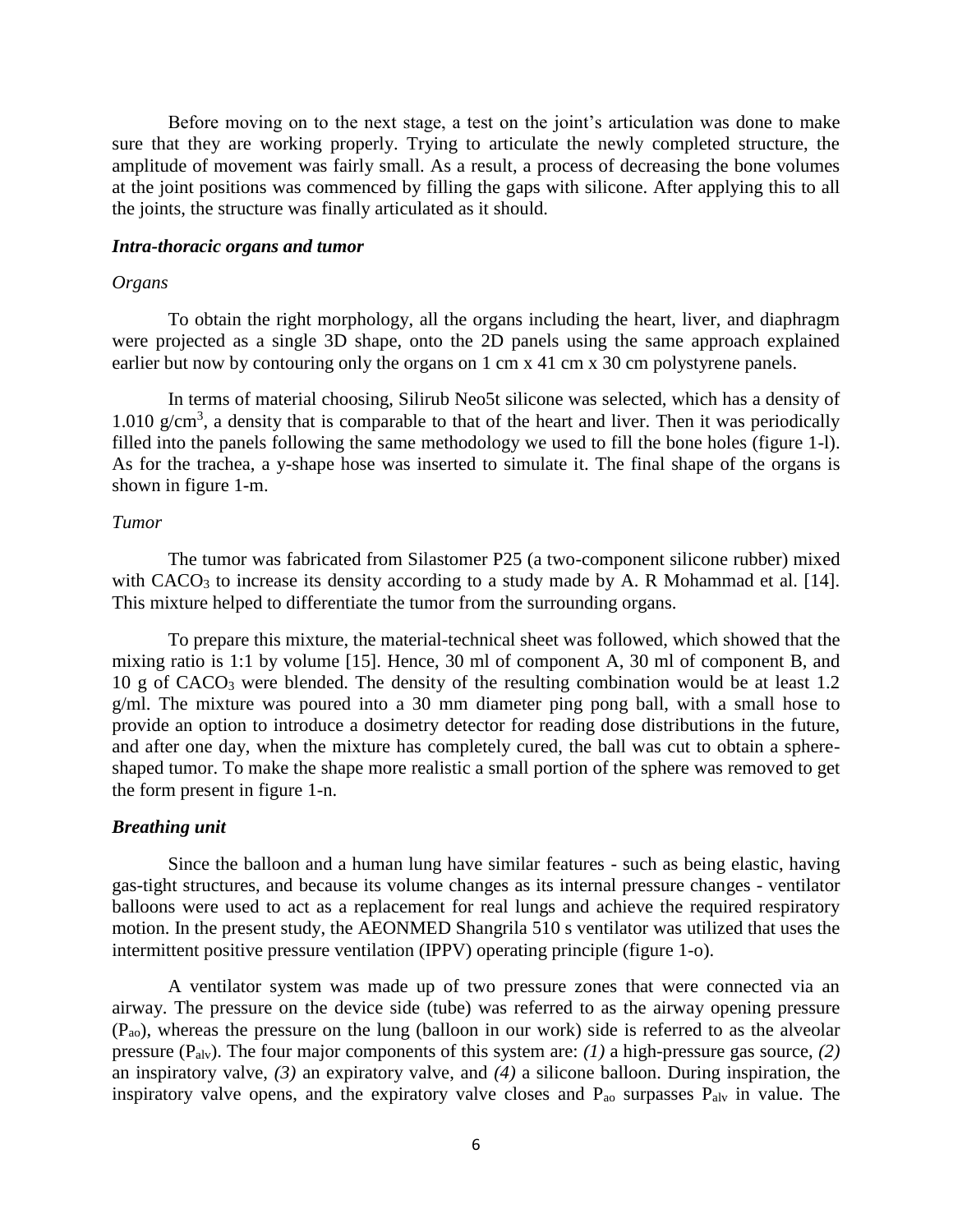Before moving on to the next stage, a test on the joint's articulation was done to make sure that they are working properly. Trying to articulate the newly completed structure, the amplitude of movement was fairly small. As a result, a process of decreasing the bone volumes at the joint positions was commenced by filling the gaps with silicone. After applying this to all the joints, the structure was finally articulated as it should.

#### *Intra-thoracic organs and tumor*

#### *Organs*

To obtain the right morphology, all the organs including the heart, liver, and diaphragm were projected as a single 3D shape, onto the 2D panels using the same approach explained earlier but now by contouring only the organs on 1 cm x 41 cm x 30 cm polystyrene panels.

In terms of material choosing, Silirub Neo5t silicone was selected, which has a density of 1.010  $g/cm<sup>3</sup>$ , a density that is comparable to that of the heart and liver. Then it was periodically filled into the panels following the same methodology we used to fill the bone holes (figure 1-l). As for the trachea, a y-shape hose was inserted to simulate it. The final shape of the organs is shown in figure 1-m.

## *Tumor*

The tumor was fabricated from Silastomer P25 (a two-component silicone rubber) mixed with CACO<sub>3</sub> to increase its density according to a study made by A. R Mohammad et al. [14]. This mixture helped to differentiate the tumor from the surrounding organs.

To prepare this mixture, the material-technical sheet was followed, which showed that the mixing ratio is 1:1 by volume [15]. Hence, 30 ml of component A, 30 ml of component B, and 10 g of CACO<sup>3</sup> were blended. The density of the resulting combination would be at least 1.2 g/ml. The mixture was poured into a 30 mm diameter ping pong ball, with a small hose to provide an option to introduce a dosimetry detector for reading dose distributions in the future, and after one day, when the mixture has completely cured, the ball was cut to obtain a sphereshaped tumor. To make the shape more realistic a small portion of the sphere was removed to get the form present in figure 1-n.

#### *Breathing unit*

Since the balloon and a human lung have similar features - such as being elastic, having gas-tight structures, and because its volume changes as its internal pressure changes - ventilator balloons were used to act as a replacement for real lungs and achieve the required respiratory motion. In the present study, the AEONMED Shangrila 510 s ventilator was utilized that uses the intermittent positive pressure ventilation (IPPV) operating principle (figure 1-o).

A ventilator system was made up of two pressure zones that were connected via an airway. The pressure on the device side (tube) was referred to as the airway opening pressure  $(P_{\text{ao}})$ , whereas the pressure on the lung (balloon in our work) side is referred to as the alveolar pressure (Palv). The four major components of this system are: *(1)* a high-pressure gas source, *(2)* an inspiratory valve, *(3)* an expiratory valve, and *(4)* a silicone balloon. During inspiration, the inspiratory valve opens, and the expiratory valve closes and P<sub>ao</sub> surpasses P<sub>alv</sub> in value. The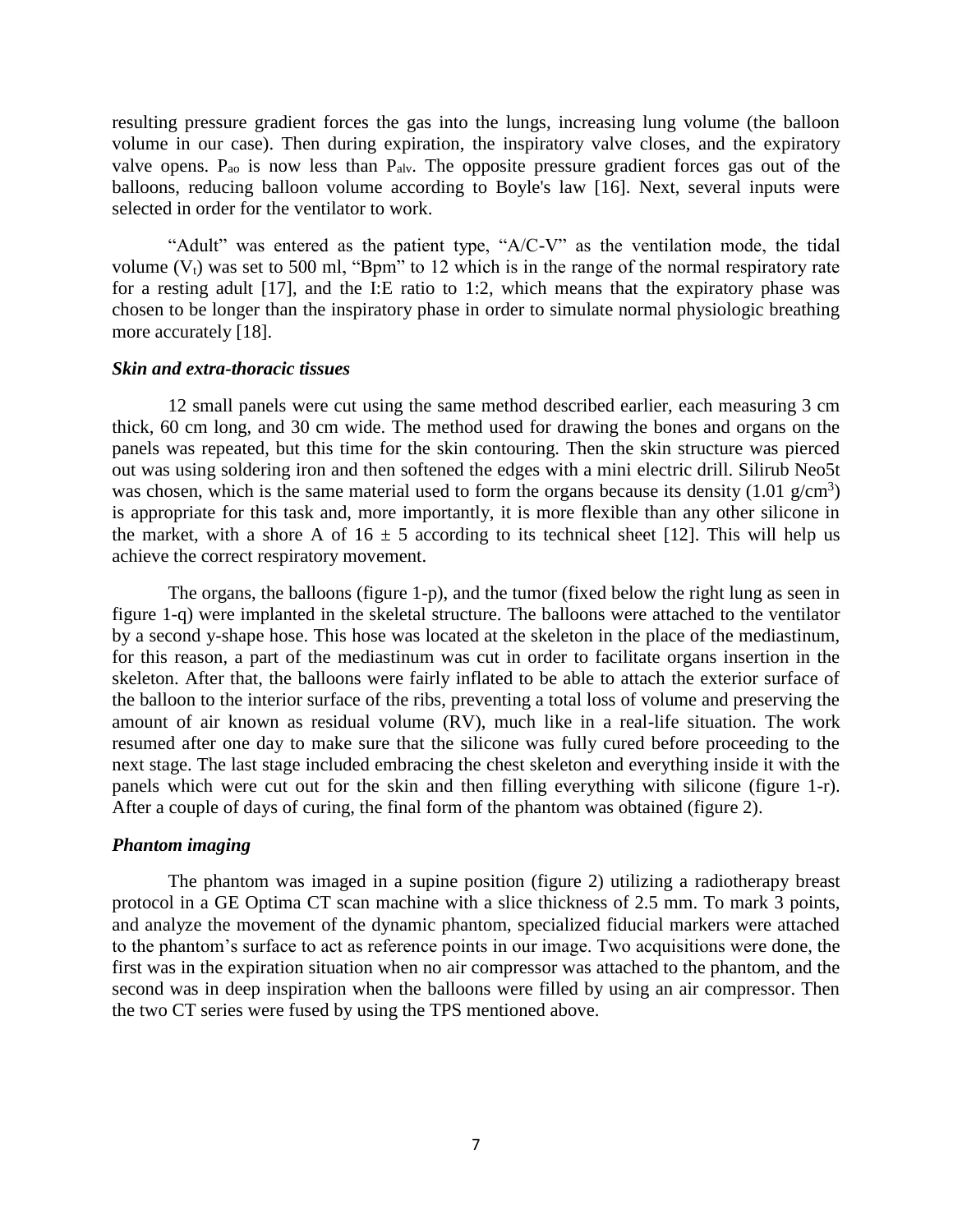resulting pressure gradient forces the gas into the lungs, increasing lung volume (the balloon volume in our case). Then during expiration, the inspiratory valve closes, and the expiratory valve opens.  $P_{ao}$  is now less than  $P_{alv}$ . The opposite pressure gradient forces gas out of the balloons, reducing balloon volume according to Boyle's law [16]. Next, several inputs were selected in order for the ventilator to work.

"Adult" was entered as the patient type, "A/C-V" as the ventilation mode, the tidal volume  $(V_t)$  was set to 500 ml, "Bpm" to 12 which is in the range of the normal respiratory rate for a resting adult [17], and the I:E ratio to 1:2, which means that the expiratory phase was chosen to be longer than the inspiratory phase in order to simulate normal physiologic breathing more accurately [18].

#### *Skin and extra-thoracic tissues*

12 small panels were cut using the same method described earlier, each measuring 3 cm thick, 60 cm long, and 30 cm wide. The method used for drawing the bones and organs on the panels was repeated, but this time for the skin contouring. Then the skin structure was pierced out was using soldering iron and then softened the edges with a mini electric drill. Silirub Neo5t was chosen, which is the same material used to form the organs because its density  $(1.01 \text{ g/cm}^3)$ is appropriate for this task and, more importantly, it is more flexible than any other silicone in the market, with a shore A of  $16 \pm 5$  according to its technical sheet [12]. This will help us achieve the correct respiratory movement.

The organs, the balloons (figure 1-p), and the tumor (fixed below the right lung as seen in figure 1-q) were implanted in the skeletal structure. The balloons were attached to the ventilator by a second y-shape hose. This hose was located at the skeleton in the place of the mediastinum, for this reason, a part of the mediastinum was cut in order to facilitate organs insertion in the skeleton. After that, the balloons were fairly inflated to be able to attach the exterior surface of the balloon to the interior surface of the ribs, preventing a total loss of volume and preserving the amount of air known as residual volume (RV), much like in a real-life situation. The work resumed after one day to make sure that the silicone was fully cured before proceeding to the next stage. The last stage included embracing the chest skeleton and everything inside it with the panels which were cut out for the skin and then filling everything with silicone (figure 1-r). After a couple of days of curing, the final form of the phantom was obtained (figure 2).

## *Phantom imaging*

The phantom was imaged in a supine position (figure 2) utilizing a radiotherapy breast protocol in a GE Optima CT scan machine with a slice thickness of 2.5 mm. To mark 3 points, and analyze the movement of the dynamic phantom, specialized fiducial markers were attached to the phantom's surface to act as reference points in our image. Two acquisitions were done, the first was in the expiration situation when no air compressor was attached to the phantom, and the second was in deep inspiration when the balloons were filled by using an air compressor. Then the two CT series were fused by using the TPS mentioned above.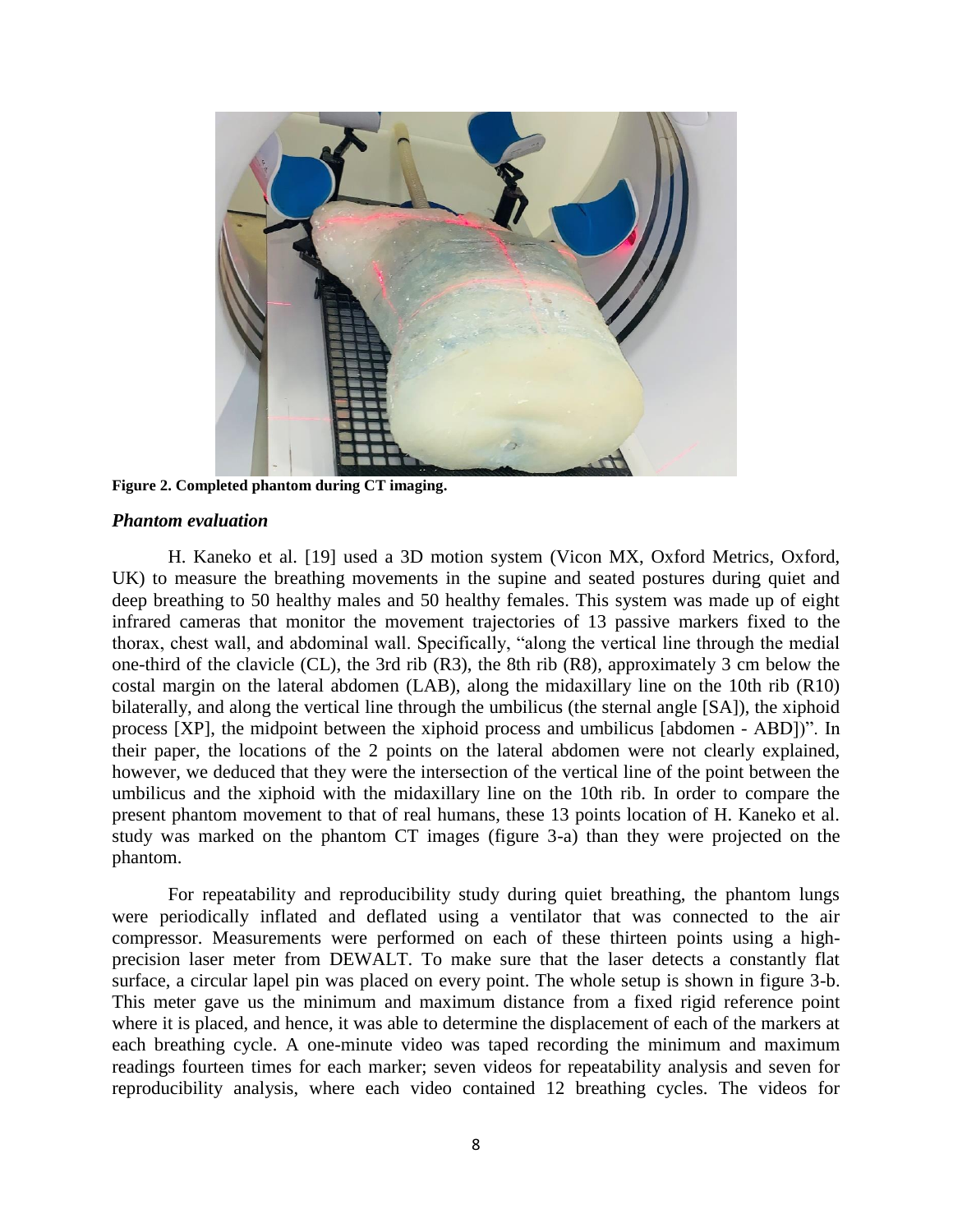

**Figure 2. Completed phantom during CT imaging.**

### *Phantom evaluation*

H. Kaneko et al. [19] used a 3D motion system (Vicon MX, Oxford Metrics, Oxford, UK) to measure the breathing movements in the supine and seated postures during quiet and deep breathing to 50 healthy males and 50 healthy females. This system was made up of eight infrared cameras that monitor the movement trajectories of 13 passive markers fixed to the thorax, chest wall, and abdominal wall. Specifically, "along the vertical line through the medial one-third of the clavicle (CL), the 3rd rib (R3), the 8th rib (R8), approximately 3 cm below the costal margin on the lateral abdomen (LAB), along the midaxillary line on the 10th rib (R10) bilaterally, and along the vertical line through the umbilicus (the sternal angle [SA]), the xiphoid process [XP], the midpoint between the xiphoid process and umbilicus [abdomen - ABD])". In their paper, the locations of the 2 points on the lateral abdomen were not clearly explained, however, we deduced that they were the intersection of the vertical line of the point between the umbilicus and the xiphoid with the midaxillary line on the 10th rib. In order to compare the present phantom movement to that of real humans, these 13 points location of H. Kaneko et al. study was marked on the phantom CT images (figure 3-a) than they were projected on the phantom.

For repeatability and reproducibility study during quiet breathing, the phantom lungs were periodically inflated and deflated using a ventilator that was connected to the air compressor. Measurements were performed on each of these thirteen points using a highprecision laser meter from DEWALT. To make sure that the laser detects a constantly flat surface, a circular lapel pin was placed on every point. The whole setup is shown in figure 3-b. This meter gave us the minimum and maximum distance from a fixed rigid reference point where it is placed, and hence, it was able to determine the displacement of each of the markers at each breathing cycle. A one-minute video was taped recording the minimum and maximum readings fourteen times for each marker; seven videos for repeatability analysis and seven for reproducibility analysis, where each video contained 12 breathing cycles. The videos for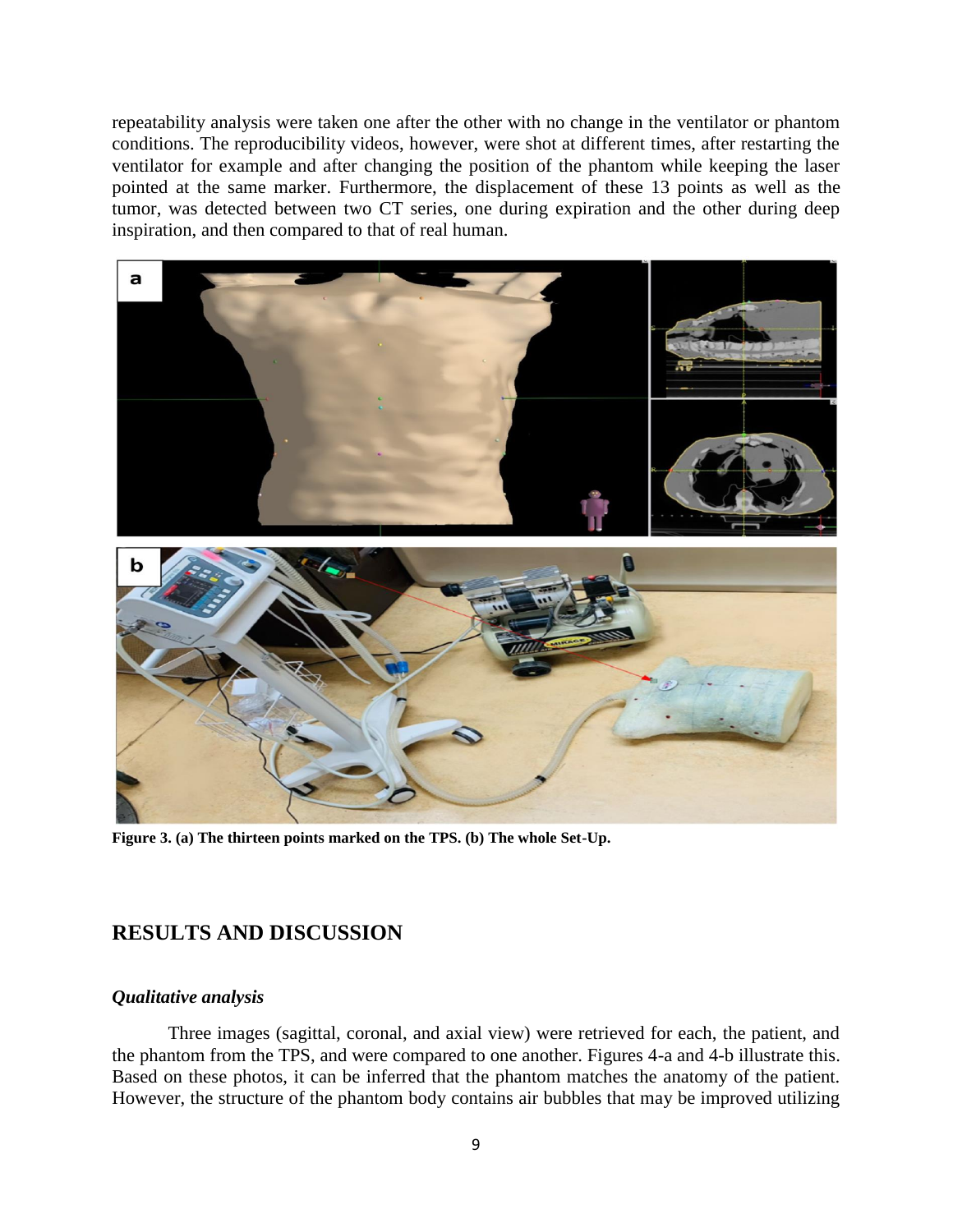repeatability analysis were taken one after the other with no change in the ventilator or phantom conditions. The reproducibility videos, however, were shot at different times, after restarting the ventilator for example and after changing the position of the phantom while keeping the laser pointed at the same marker. Furthermore, the displacement of these 13 points as well as the tumor, was detected between two CT series, one during expiration and the other during deep inspiration, and then compared to that of real human.



**Figure 3. (a) The thirteen points marked on the TPS. (b) The whole Set-Up.**

## **RESULTS AND DISCUSSION**

## *Qualitative analysis*

Three images (sagittal, coronal, and axial view) were retrieved for each, the patient, and the phantom from the TPS, and were compared to one another. Figures 4-a and 4-b illustrate this. Based on these photos, it can be inferred that the phantom matches the anatomy of the patient. However, the structure of the phantom body contains air bubbles that may be improved utilizing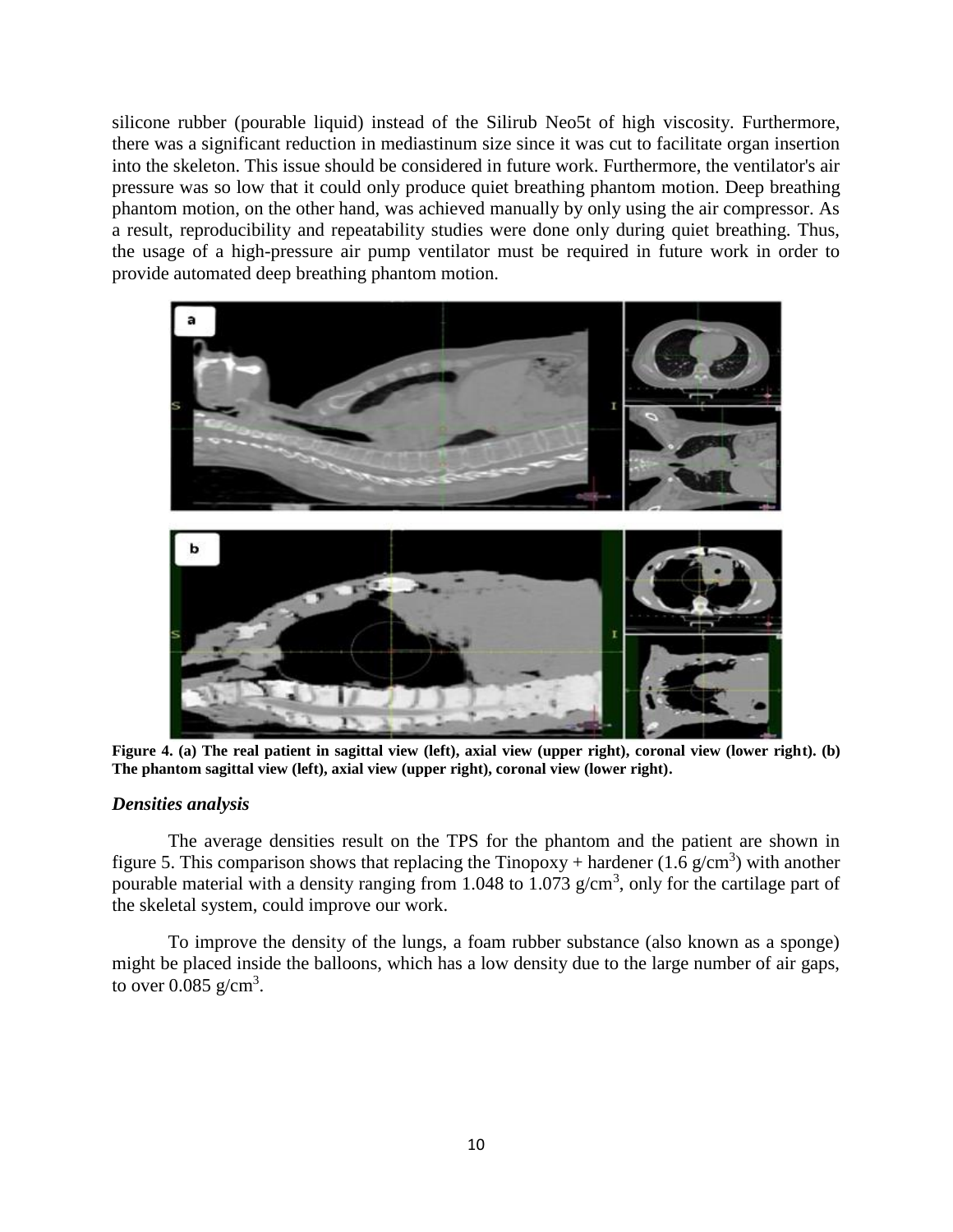silicone rubber (pourable liquid) instead of the Silirub Neo5t of high viscosity. Furthermore, there was a significant reduction in mediastinum size since it was cut to facilitate organ insertion into the skeleton. This issue should be considered in future work. Furthermore, the ventilator's air pressure was so low that it could only produce quiet breathing phantom motion. Deep breathing phantom motion, on the other hand, was achieved manually by only using the air compressor. As a result, reproducibility and repeatability studies were done only during quiet breathing. Thus, the usage of a high-pressure air pump ventilator must be required in future work in order to provide automated deep breathing phantom motion.



**Figure 4. (a) The real patient in sagittal view (left), axial view (upper right), coronal view (lower right). (b) The phantom sagittal view (left), axial view (upper right), coronal view (lower right).**

## *Densities analysis*

The average densities result on the TPS for the phantom and the patient are shown in figure 5. This comparison shows that replacing the Tinopoxy + hardener (1.6 g/cm<sup>3</sup>) with another pourable material with a density ranging from 1.048 to 1.073 g/cm<sup>3</sup>, only for the cartilage part of the skeletal system, could improve our work.

To improve the density of the lungs, a foam rubber substance (also known as a sponge) might be placed inside the balloons, which has a low density due to the large number of air gaps, to over  $0.085 \text{ g/cm}^3$ .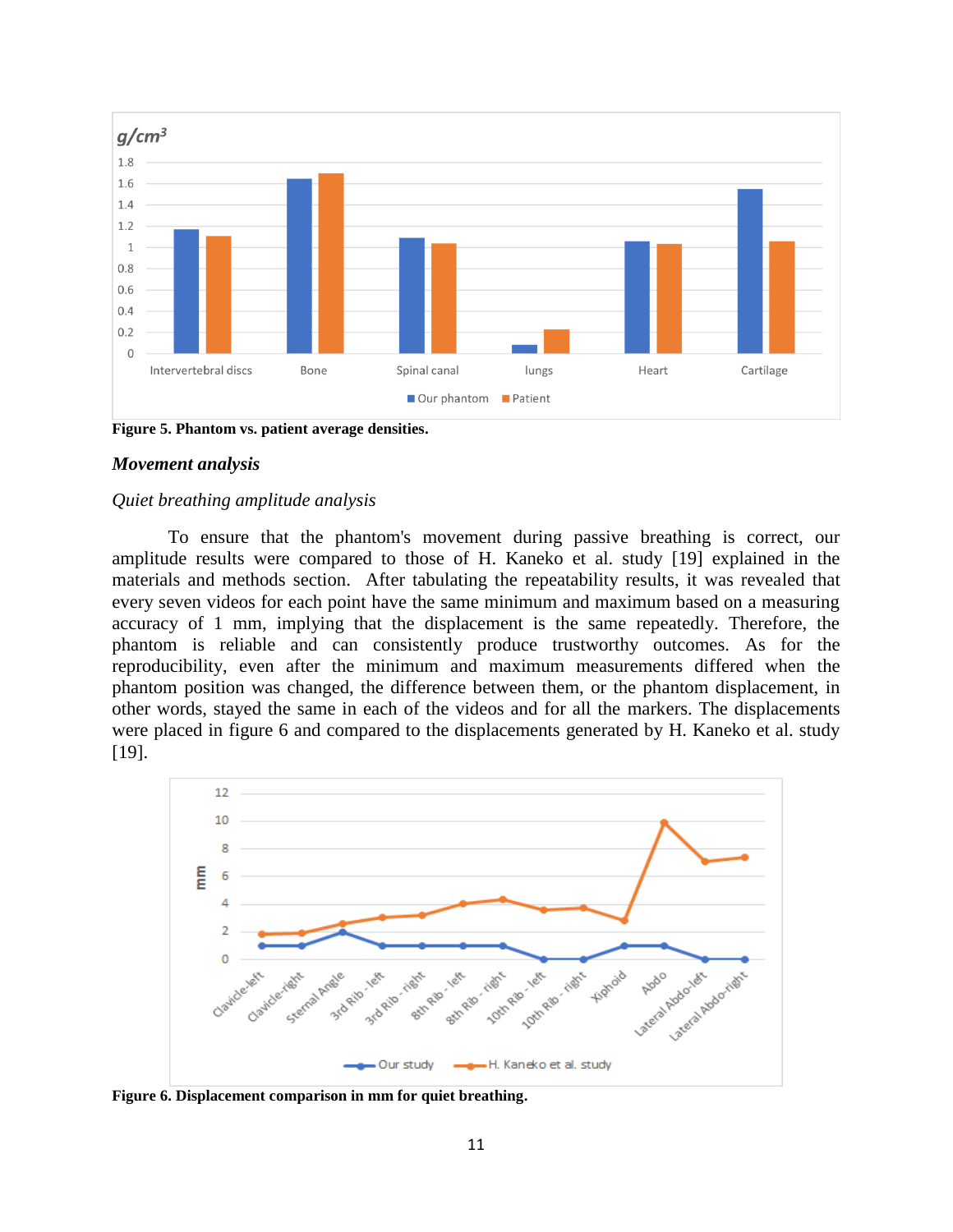

**Figure 5. Phantom vs. patient average densities.**

### *Movement analysis*

#### *Quiet breathing amplitude analysis*

To ensure that the phantom's movement during passive breathing is correct, our amplitude results were compared to those of H. Kaneko et al. study [19] explained in the materials and methods section. After tabulating the repeatability results, it was revealed that every seven videos for each point have the same minimum and maximum based on a measuring accuracy of 1 mm, implying that the displacement is the same repeatedly. Therefore, the phantom is reliable and can consistently produce trustworthy outcomes. As for the reproducibility, even after the minimum and maximum measurements differed when the phantom position was changed, the difference between them, or the phantom displacement, in other words, stayed the same in each of the videos and for all the markers. The displacements were placed in figure 6 and compared to the displacements generated by H. Kaneko et al. study [19].



**Figure 6. Displacement comparison in mm for quiet breathing.**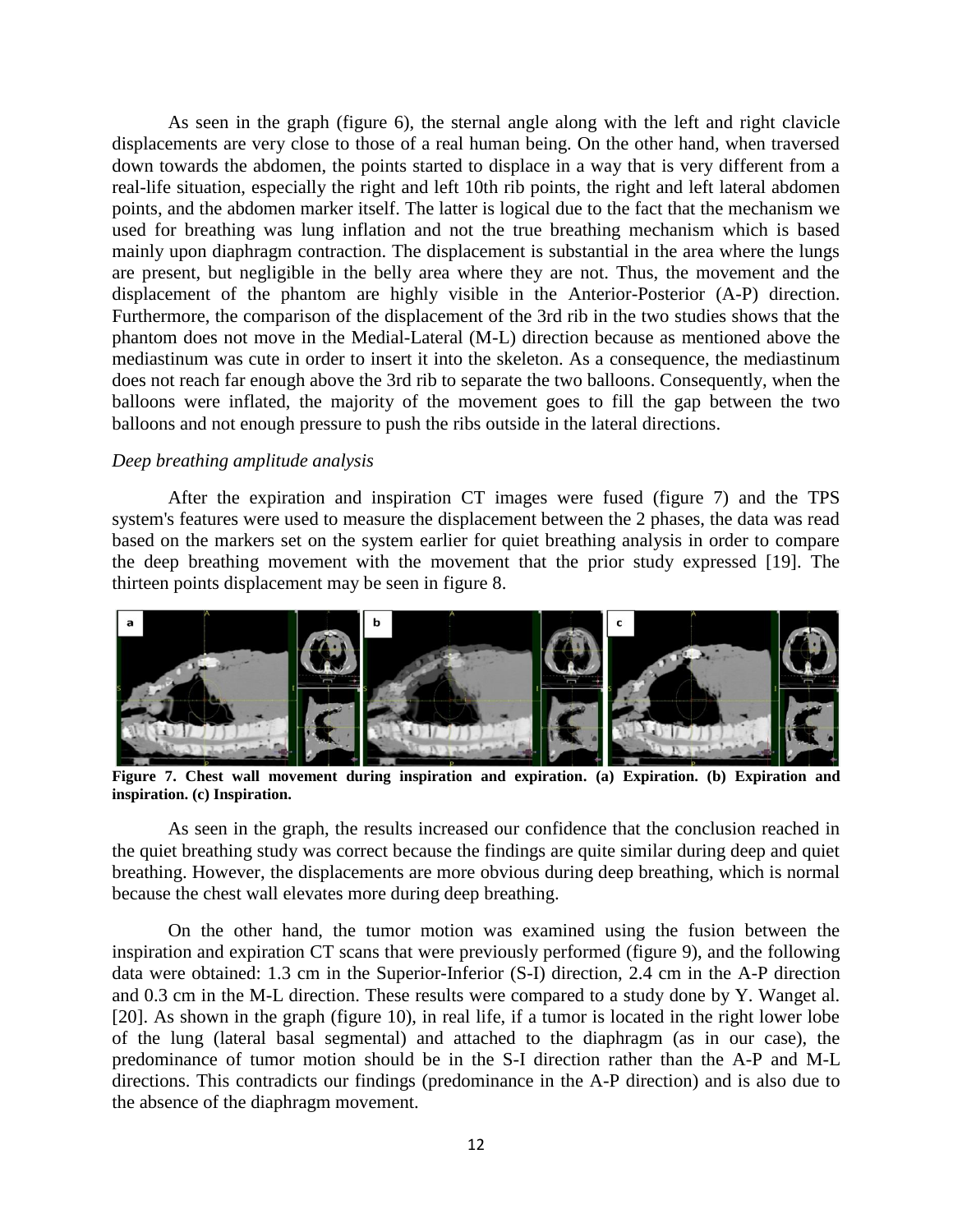As seen in the graph (figure 6), the sternal angle along with the left and right clavicle displacements are very close to those of a real human being. On the other hand, when traversed down towards the abdomen, the points started to displace in a way that is very different from a real-life situation, especially the right and left 10th rib points, the right and left lateral abdomen points, and the abdomen marker itself. The latter is logical due to the fact that the mechanism we used for breathing was lung inflation and not the true breathing mechanism which is based mainly upon diaphragm contraction. The displacement is substantial in the area where the lungs are present, but negligible in the belly area where they are not. Thus, the movement and the displacement of the phantom are highly visible in the Anterior-Posterior (A-P) direction. Furthermore, the comparison of the displacement of the 3rd rib in the two studies shows that the phantom does not move in the Medial-Lateral (M-L) direction because as mentioned above the mediastinum was cute in order to insert it into the skeleton. As a consequence, the mediastinum does not reach far enough above the 3rd rib to separate the two balloons. Consequently, when the balloons were inflated, the majority of the movement goes to fill the gap between the two balloons and not enough pressure to push the ribs outside in the lateral directions.

## *Deep breathing amplitude analysis*

After the expiration and inspiration CT images were fused (figure 7) and the TPS system's features were used to measure the displacement between the 2 phases, the data was read based on the markers set on the system earlier for quiet breathing analysis in order to compare the deep breathing movement with the movement that the prior study expressed [19]. The thirteen points displacement may be seen in figure 8.



**Figure 7. Chest wall movement during inspiration and expiration. (a) Expiration. (b) Expiration and inspiration. (c) Inspiration.**

As seen in the graph, the results increased our confidence that the conclusion reached in the quiet breathing study was correct because the findings are quite similar during deep and quiet breathing. However, the displacements are more obvious during deep breathing, which is normal because the chest wall elevates more during deep breathing.

On the other hand, the tumor motion was examined using the fusion between the inspiration and expiration CT scans that were previously performed (figure 9), and the following data were obtained: 1.3 cm in the Superior-Inferior (S-I) direction, 2.4 cm in the A-P direction and 0.3 cm in the M-L direction. These results were compared to a study done by Y. Wanget al. [20]. As shown in the graph (figure 10), in real life, if a tumor is located in the right lower lobe of the lung (lateral basal segmental) and attached to the diaphragm (as in our case), the predominance of tumor motion should be in the S-I direction rather than the A-P and M-L directions. This contradicts our findings (predominance in the A-P direction) and is also due to the absence of the diaphragm movement.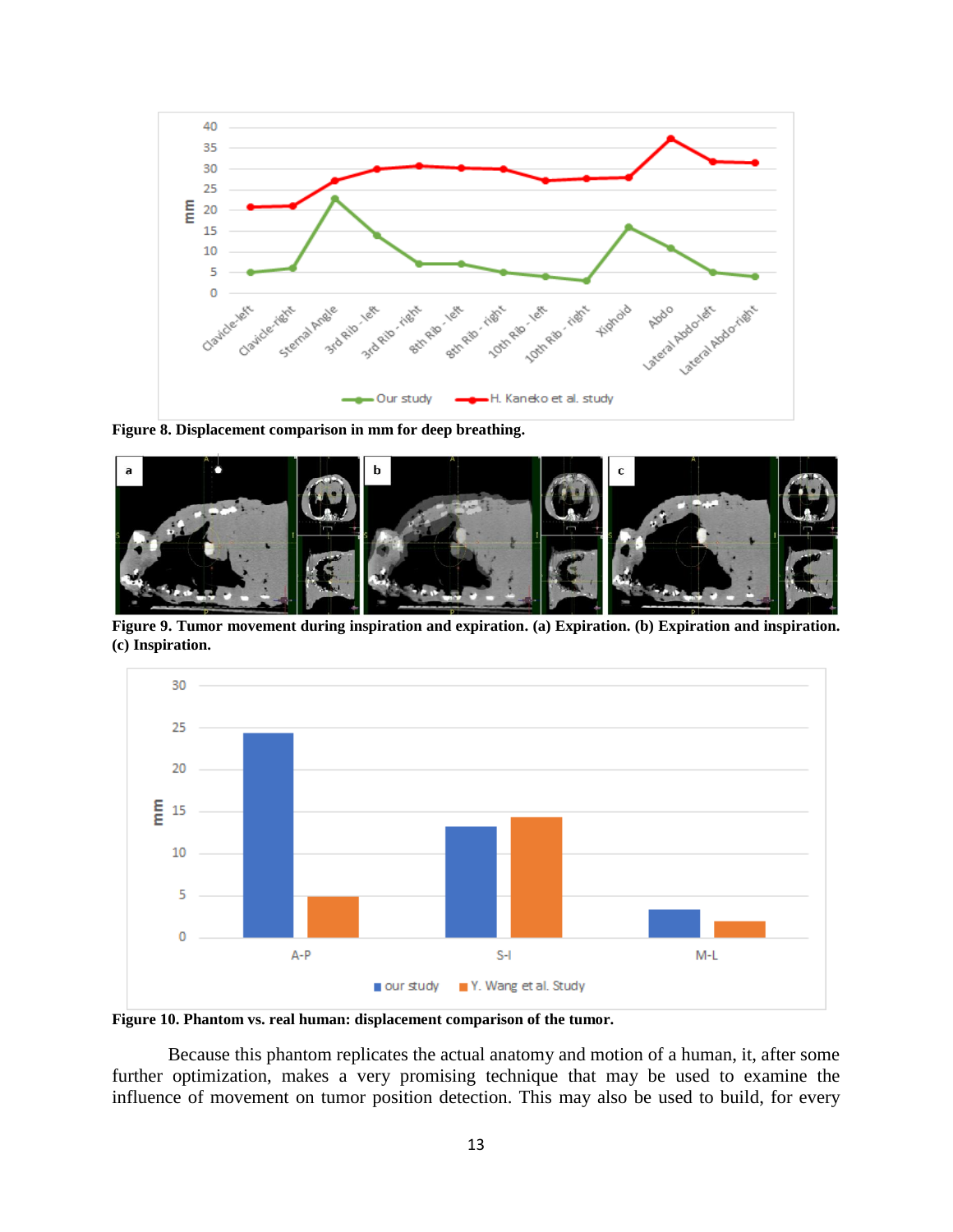

**Figure 8. Displacement comparison in mm for deep breathing.**



**Figure 9. Tumor movement during inspiration and expiration. (a) Expiration. (b) Expiration and inspiration. (c) Inspiration.**



**Figure 10. Phantom vs. real human: displacement comparison of the tumor.**

Because this phantom replicates the actual anatomy and motion of a human, it, after some further optimization, makes a very promising technique that may be used to examine the influence of movement on tumor position detection. This may also be used to build, for every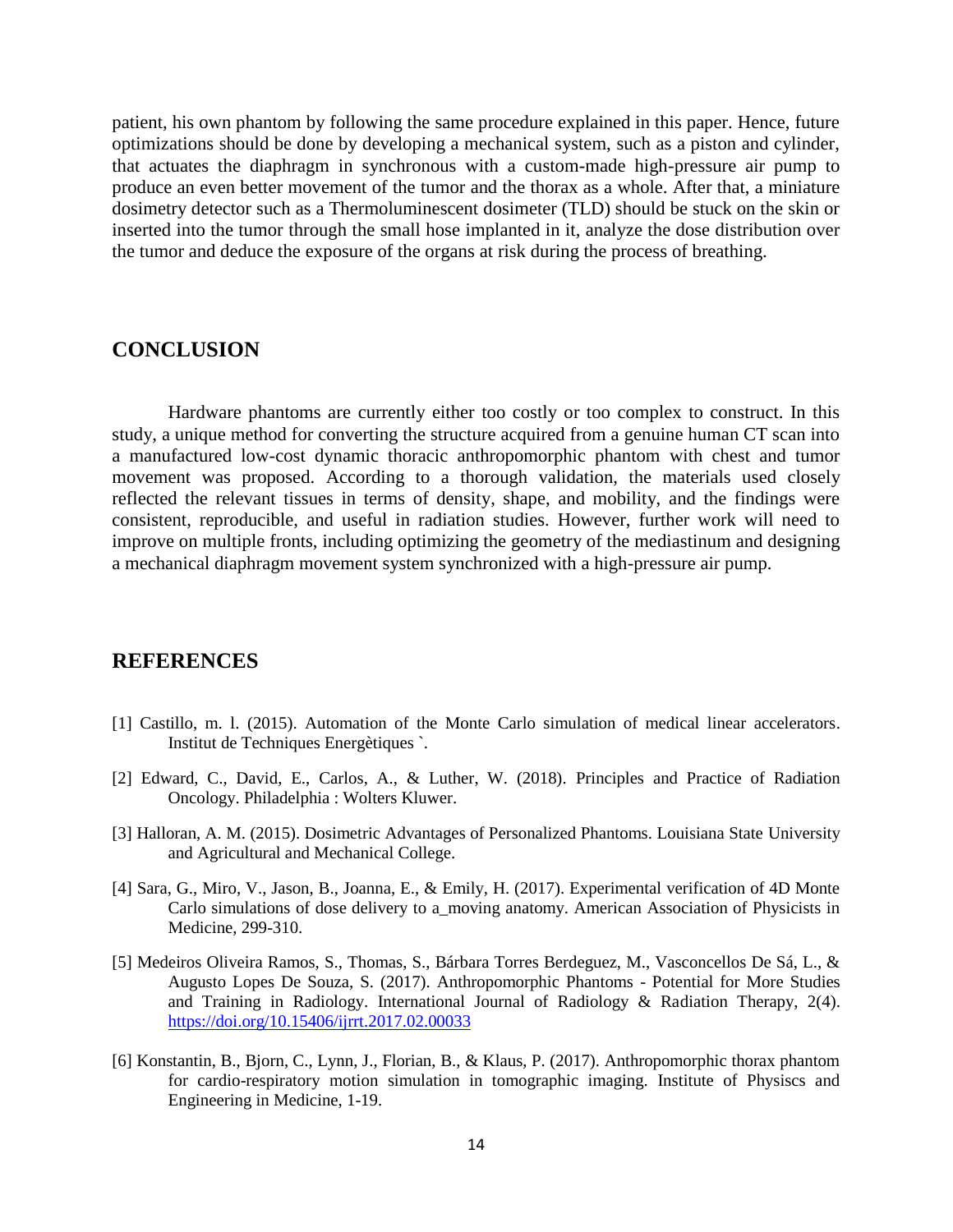patient, his own phantom by following the same procedure explained in this paper. Hence, future optimizations should be done by developing a mechanical system, such as a piston and cylinder, that actuates the diaphragm in synchronous with a custom-made high-pressure air pump to produce an even better movement of the tumor and the thorax as a whole. After that, a miniature dosimetry detector such as a Thermoluminescent dosimeter (TLD) should be stuck on the skin or inserted into the tumor through the small hose implanted in it, analyze the dose distribution over the tumor and deduce the exposure of the organs at risk during the process of breathing.

## **CONCLUSION**

Hardware phantoms are currently either too costly or too complex to construct. In this study, a unique method for converting the structure acquired from a genuine human CT scan into a manufactured low-cost dynamic thoracic anthropomorphic phantom with chest and tumor movement was proposed. According to a thorough validation, the materials used closely reflected the relevant tissues in terms of density, shape, and mobility, and the findings were consistent, reproducible, and useful in radiation studies. However, further work will need to improve on multiple fronts, including optimizing the geometry of the mediastinum and designing a mechanical diaphragm movement system synchronized with a high-pressure air pump.

## **REFERENCES**

- [1] Castillo, m. l. (2015). Automation of the Monte Carlo simulation of medical linear accelerators. Institut de Techniques Energètiques `.
- [2] Edward, C., David, E., Carlos, A., & Luther, W. (2018). Principles and Practice of Radiation Oncology. Philadelphia : Wolters Kluwer.
- [3] Halloran, A. M. (2015). Dosimetric Advantages of Personalized Phantoms. Louisiana State University and Agricultural and Mechanical College.
- [4] Sara, G., Miro, V., Jason, B., Joanna, E., & Emily, H. (2017). Experimental verification of 4D Monte Carlo simulations of dose delivery to a\_moving anatomy. American Association of Physicists in Medicine, 299-310.
- [5] Medeiros Oliveira Ramos, S., Thomas, S., Bárbara Torres Berdeguez, M., Vasconcellos De Sá, L., & Augusto Lopes De Souza, S. (2017). Anthropomorphic Phantoms - Potential for More Studies and Training in Radiology. International Journal of Radiology & Radiation Therapy, 2(4). <https://doi.org/10.15406/ijrrt.2017.02.00033>
- [6] Konstantin, B., Bjorn, C., Lynn, J., Florian, B., & Klaus, P. (2017). Anthropomorphic thorax phantom for cardio-respiratory motion simulation in tomographic imaging. Institute of Physiscs and Engineering in Medicine, 1-19.